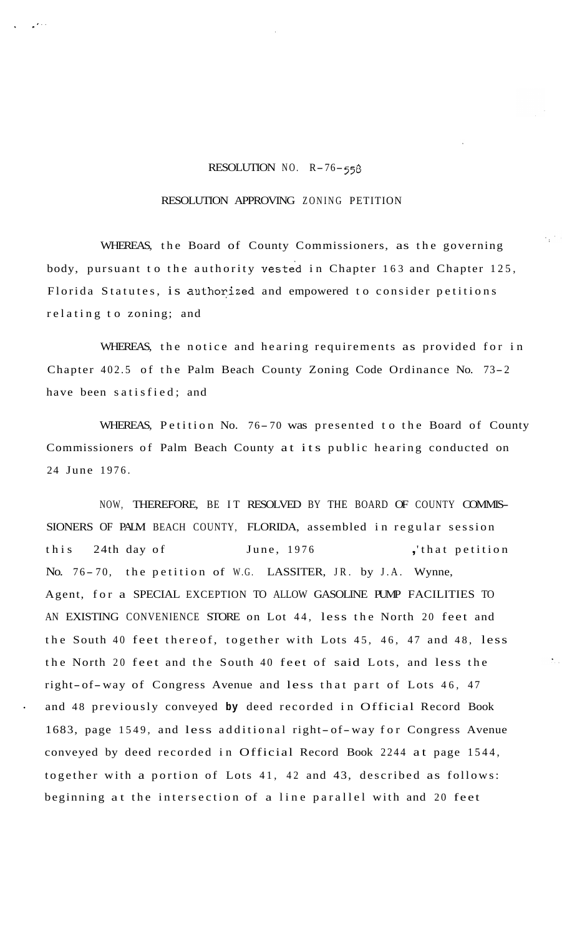## RESOLUTION NO. R-76- *<sup>558</sup>*

.. *I..* 

## RESOLUTION APPROVING ZONING PETITION

WHEREAS, the Board of County Commissioners, as the governing body, pursuant to the authority vested in Chapter 163 and Chapter 125, Florida Statutes, is authorized and empowered to consider petitions relating to zoning; and

WHEREAS, the notice and hearing requirements as provided for in Chapter 402.5 of the Palm Beach County Zoning Code Ordinance No. 73-2 have been satisfied; and

WHEREAS, Petition No. 76-70 was presented to the Board of County Commissioners of Palm Beach County at its public hearing conducted on 24 June 1976.

NOW, THEREFORE, BE IT RESOLVED BY THE BOARD OF COUNTY COMMIS-SIONERS OF PALM BEACH COUNTY, FLORIDA, assembled in regular session this 24th day of June, 1976 , that petition No. 76-70, the petition of W.G. LASSITER, JR. by J.A. Wynne, Agent, for a SPECIAL EXCEPTION TO ALLOW GASOLINE PUMP FACILITIES TO AN EXISTING CONVENIENCE STORE on Lot 44, less the North 20 feet and the South 40 feet thereof, together with Lots 45, 46, 47 and 48, less the North 20 feet and the South 40 feet of said Lots, and less the right-of-way of Congress Avenue and less that part of Lots 46, 47 and 48 previously conveyed **by** deed recorded in Official Record Book 1683, page 1549, and less additional right- of-way for Congress Avenue conveyed by deed recorded in Official Record Book 2244 at page 1544, together with a portion of Lots 41, 42 and 43, described as follows: beginning at the intersection of a line parallel with and 20 feet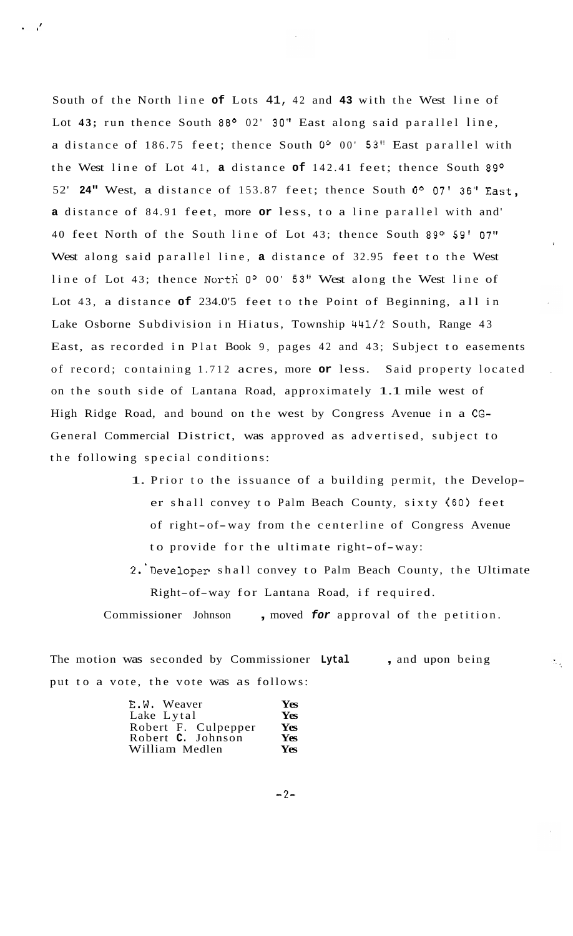South of the North line **of** Lots 41, 42 and **43** with the West line of Lot 43; run thence South 88° 02' 30" East along said parallel line, a distance of 186.75 feet; thence South **Oo** 00' **53"** East parallel with the West line of Lot 41, **a** distance **of** 142.41 feet; thence South 89O 52' **24"** West, a distance of 153.87 feet; thence South **00** 07' **36"** East, **a** distance of 84.91 feet, more **or** less, to a line parallel with and' 40 feet North of the South line of Lot 43; thence South 89° 59' 07" West along said parallel line, **a** distance of 32.95 feet to the West line of Lot 43; thence North 0° 00' 53" West along the West line of Lot 43, a distance **of** 234.0'5 feet to the Point of Beginning, all in Lake Osborne Subdivision in Hiatus, Township 441/2 South, Range 43 East, as recorded in Plat Book 9, pages 42 and 43; Subject to easements of record; containing 1.712 acres, more **or** less. Said property located , on the south side of Lantana Road, approximately 1.1 mile west of High Ridge Road, and bound on the west by Congress Avenue in a **CG-**General Commercial District, was approved as advertised, subject to the following special conditions:

- 1. Prior to the issuance of a building permit, the Developer shall convey to Palm Beach County, sixty (60) feet of right- of-way from the centerline of Congress Avenue to provide for the ultimate right-of-way:
- **2.** 'Developer shall convey to Palm Beach County, the Ultimate Right-of-way for Lantana Road, if required.

 $\mathcal{L}_{\text{max}}$ 

Commissioner Johnson , moved *for* approval of the petition.

The motion was seconded by Commissioner **Lytal** , and upon being put to a vote, the vote was as follows:

| E.W. Weaver         | Yes |
|---------------------|-----|
| Lake Lytal          | Yes |
| Robert F. Culpepper | Yes |
| Robert C. Johnson   | Yes |
| William Medlen      | Yes |

 $-2-$